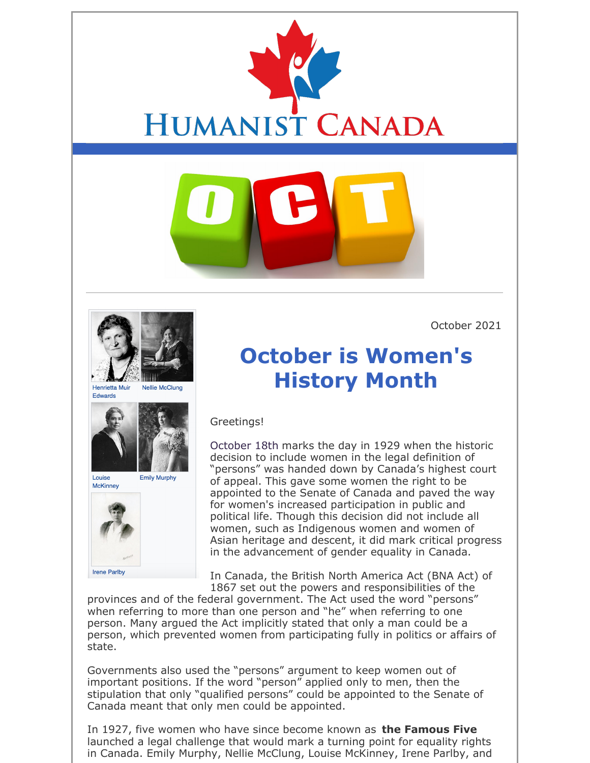



October 2021



Greetings!

**Nellie McClung** 

**Emily Murphy** 

Henrietta Muir Edwards

Louise

**McKinney** 

**Irene Parlby** 

October 18th marks the day in 1929 when the historic decision to include women in the legal definition of "persons" was handed down by Canada's highest court of appeal. This gave some women the right to be appointed to the Senate of Canada and paved the way for women's increased participation in public and political life. Though this decision did not include all women, such as Indigenous women and women of Asian heritage and descent, it did mark critical progress in the advancement of gender equality in Canada.

In Canada, the British North America Act (BNA Act) of 1867 set out the powers and responsibilities of the

provinces and of the federal government. The Act used the word "persons" when referring to more than one person and "he" when referring to one person. Many argued the Act implicitly stated that only a man could be a person, which prevented women from participating fully in politics or affairs of state.

Governments also used the "persons" argument to keep women out of important positions. If the word "person" applied only to men, then the stipulation that only "qualified persons" could be appointed to the Senate of Canada meant that only men could be appointed.

In 1927, five women who have since become known as **the Famous Five** launched a legal challenge that would mark a turning point for equality rights in Canada. Emily Murphy, Nellie McClung, Louise McKinney, Irene Parlby, and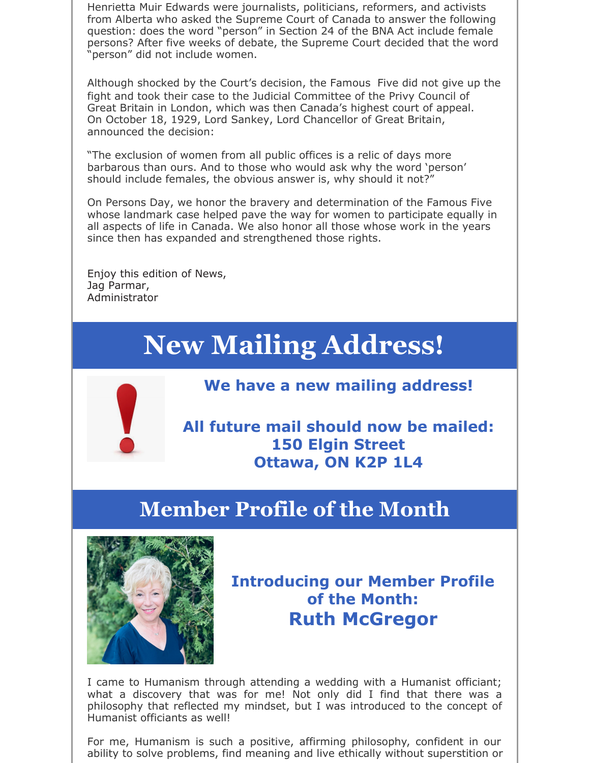Henrietta Muir Edwards were journalists, politicians, reformers, and activists from Alberta who asked the Supreme Court of Canada to answer the following question: does the word "person" in Section 24 of the BNA Act include female persons? After five weeks of debate, the Supreme Court decided that the word "person" did not include women.

Although shocked by the Court's decision, the Famous Five did not give up the fight and took their case to the Judicial Committee of the Privy Council of Great Britain in London, which was then Canada's highest court of appeal. On October 18, 1929, Lord Sankey, Lord Chancellor of Great Britain, announced the decision:

"The exclusion of women from all public offices is a relic of days more barbarous than ours. And to those who would ask why the word 'person' should include females, the obvious answer is, why should it not?"

On Persons Day, we honor the bravery and determination of the Famous Five whose landmark case helped pave the way for women to participate equally in all aspects of life in Canada. We also honor all those whose work in the years since then has expanded and strengthened those rights.

Enjoy this edition of News, Jag Parmar, Administrator

# **New Mailing Address!**



**We have a new mailing address!**

**All future mail should now be mailed: 150 Elgin Street Ottawa, ON K2P 1L4**

## **Member Profile of the Month**



### **Introducing our Member Profile of the Month: Ruth McGregor**

I came to Humanism through attending a wedding with a Humanist officiant; what a discovery that was for me! Not only did I find that there was a philosophy that reflected my mindset, but I was introduced to the concept of Humanist officiants as well!

For me, Humanism is such a positive, affirming philosophy, confident in our ability to solve problems, find meaning and live ethically without superstition or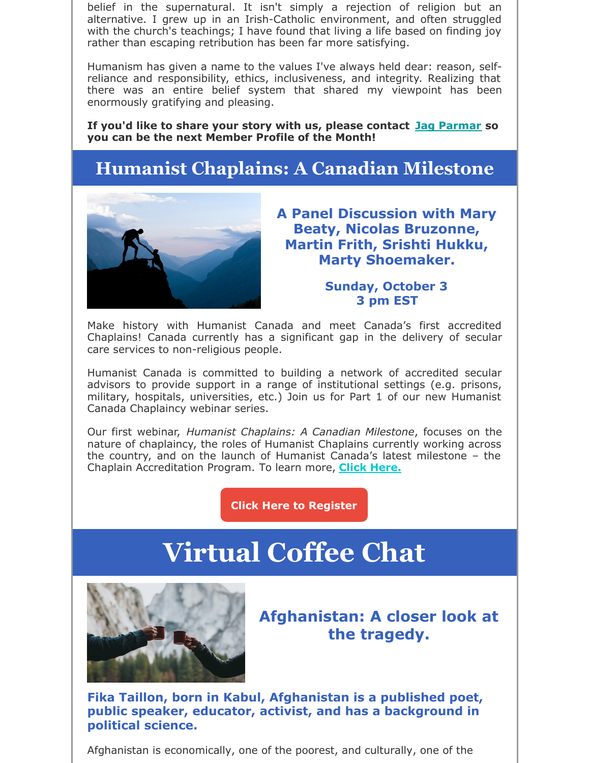belief in the supernatural. It isn't simply a rejection of religion but an alternative. I grew up in an Irish-Catholic environment, and often struggled with the church's teachings; I have found that living a life based on finding joy rather than escaping retribution has been far more satisfying.

Humanism has given a name to the values I've always held dear: reason, selfreliance and responsibility, ethics, inclusiveness, and integrity. Realizing that there was an entire belief system that shared my viewpoint has been enormously gratifying and pleasing.

**If you'd like to share your story with us, please contact Jag Parmar so you can be the next Member Profile of the Month!**

## **Humanist Chaplains: A Canadian Milestone**



**A Panel Discussion with Mary Beaty, Nicolas Bruzonne, Martin Frith, Srishti Hukku, Marty Shoemaker.**

#### **Sunday, October 3 3 pm EST**

Make history with Humanist Canada and meet Canada's first accredited Chaplains! Canada currently has a significant gap in the delivery of secular care services to non-religious people.

Humanist Canada is committed to building a network of accredited secular advisors to provide support in a range of institutional settings (e.g. prisons, military, hospitals, universities, etc.) Join us for Part 1 of our new Humanist Canada Chaplaincy webinar series.

Our first webinar, *Humanist Chaplains: A Canadian Milestone*, focuses on the nature of chaplaincy, the roles of Humanist Chaplains currently working across the country, and on the launch of Humanist Canada's latest milestone – the Chaplain Accreditation Program. To learn more, **Click Here.**

**Click Here to Register**

## **Virtual Coffee Chat**



**Afghanistan: A closer look at the tragedy.**

**Fika Taillon, born in Kabul, Afghanistan is a published poet, public speaker, educator, activist, and has a background in political science.**

Afghanistan is economically, one of the poorest, and culturally, one of the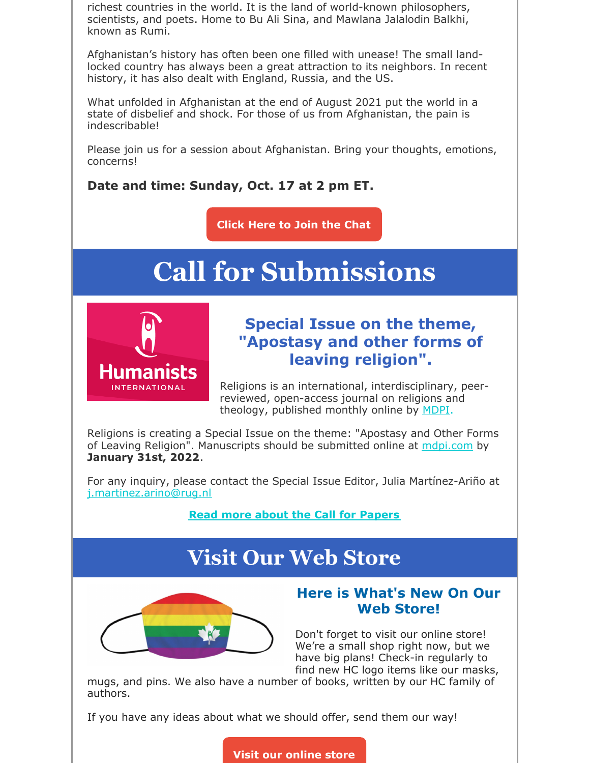richest countries in the world. It is the land of world-known philosophers, scientists, and poets. Home to Bu Ali Sina, and Mawlana Jalalodin Balkhi, known as Rumi.

Afghanistan's history has often been one filled with unease! The small landlocked country has always been a great attraction to its neighbors. In recent history, it has also dealt with England, Russia, and the US.

What unfolded in Afghanistan at the end of August 2021 put the world in a state of disbelief and shock. For those of us from Afghanistan, the pain is indescribable!

Please join us for a session about Afghanistan. Bring your thoughts, emotions, concerns!

**Date and time: Sunday, Oct. 17 at 2 pm ET.**

**Click Here to Join the Chat**

# **Call for Submissions**



### **Special Issue on the theme, "Apostasy and other forms of leaving religion".**

Religions is an international, interdisciplinary, peerreviewed, open-access journal on religions and theology, published monthly online by MDPI.

Religions is creating a Special Issue on the theme: "Apostasy and Other Forms of Leaving Religion". Manuscripts should be submitted online at mdpi.com by **January 31st, 2022**.

For any inquiry, please contact the Special Issue Editor, Julia Martínez-Ariño at j.martinez.arino@rug.nl

**Read more about the Call for Papers**

## **Visit Our Web Store**



#### **Here is What's New On Our Web Store!**

Don't forget to visit our online store! We're a small shop right now, but we have big plans! Check-in regularly to find new HC logo items like our masks,

mugs, and pins. We also have a number of books, written by our HC family of authors.

If you have any ideas about what we should offer, send them our way!

**Visit our online store**